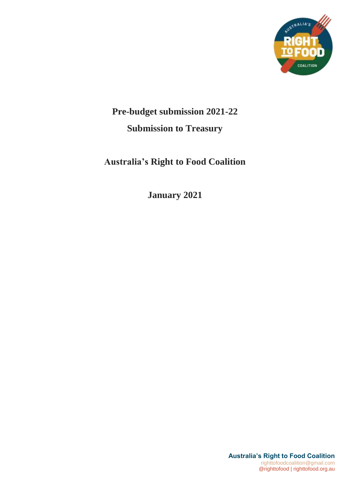

# **Pre-budget submission 2021-22 Submission to Treasury**

# **Australia's Right to Food Coalition**

**January 2021**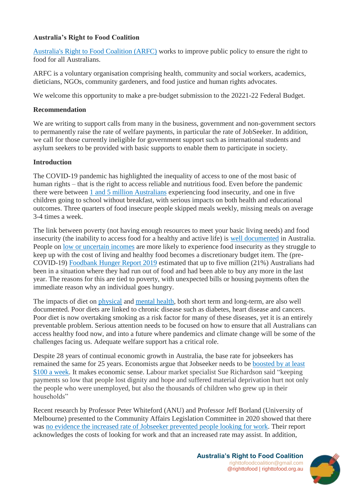# **Australia's Right to Food Coalition**

[Australia's Right to Food Coalition \(ARFC\)](https://righttofood.org.au/) works to improve public policy to ensure the right to food for all Australians.

ARFC is a voluntary organisation comprising health, community and social workers, academics, dieticians, NGOs, community gardeners, and food justice and human rights advocates.

We welcome this opportunity to make a pre-budget submission to the 20221-22 Federal Budget.

#### **Recommendation**

We are writing to support calls from many in the business, government and non-government sectors to permanently raise the rate of welfare payments, in particular the rate of JobSeeker. In addition, we call for those currently ineligible for government support such as international students and asylum seekers to be provided with basic supports to enable them to participate in society.

## **Introduction**

The COVID-19 pandemic has highlighted the inequality of access to one of the most basic of human rights – that is the right to access reliable and nutritious food. Even before the pandemic there were between [1 and 5 million Australians](https://aifs.gov.au/cfca/publications/food-insecurity-australia-what-it-who-experiences-it-and-how-can-child) experiencing food insecurity, and one in five children going to school without breakfast, with serious impacts on both health and educational outcomes. Three quarters of food insecure people skipped meals weekly, missing meals on average 3-4 times a week.

The link between poverty (not having enough resources to meet your basic living needs) and food insecurity (the inability to access food for a healthy and active life) is [well documented](https://dietitiansaustralia.org.au/wp-content/uploads/2016/12/58-3-review-paper.pdf) in Australia. People on [low or uncertain incomes](https://www.ncbi.nlm.nih.gov/pmc/articles/PMC7014009/) are more likely to experience food insecurity as they struggle to keep up with the cost of living and healthy food becomes a discretionary budget item. The (pre-COVID-19) [Foodbank Hunger Report 2019](https://www.foodbank.org.au/hidden-hunger/?state=nsw-act) estimated that up to five million (21%) Australians had been in a situation where they had run out of food and had been able to buy any more in the last year. The reasons for this are tied to poverty, with unexpected bills or housing payments often the immediate reason why an individual goes hungry.

The impacts of diet on [physical](https://www.racgp.org.au/afp/2015/november/food-insecurity-in-australia-implications-for-general-practitioners/#:~:text=Among%20adults%20who%20experience%20food,cardiovascular%20diseases32%20and%20diabetes.) and [mental health,](https://www.sciencedirect.com/science/article/pii/S074937971730243X) both short term and long-term, are also well documented. Poor diets are linked to chronic disease such as diabetes, heart disease and cancers. Poor diet is now overtaking smoking as a risk factor for many of these diseases, yet it is an entirely preventable problem. Serious attention needs to be focused on how to ensure that all Australians can access healthy food now, and into a future where pandemics and climate change will be some of the challenges facing us. Adequate welfare support has a critical role.

Despite 28 years of continual economic growth in Australia, the base rate for jobseekers has remained the same for 25 years. Economists argue that Jobseeker needs to be [boosted by at least](https://theconversation.com/top-economists-want-jobseeker-boosted-by-100-per-week-and-tied-to-wages-150364)  [\\$100 a week.](https://theconversation.com/top-economists-want-jobseeker-boosted-by-100-per-week-and-tied-to-wages-150364) It makes economic sense. Labour market specialist Sue Richardson said "keeping payments so low that people lost dignity and hope and suffered material deprivation hurt not only the people who were unemployed, but also the thousands of children who grew up in their households"

Recent research by Professor Peter Whiteford (ANU) and Professor Jeff Borland (University of Melbourne) presented to the Community Affairs Legislation Committee in 2020 showed that there was [no evidence the increased rate of Jobseeker](https://www.smh.com.au/politics/federal/no-evidence-doubled-jobseeker-was-a-disincentive-to-work-academics-20201125-p56hsg.html) prevented people looking for work. Their report acknowledges the costs of looking for work and that an increased rate may assist. In addition,

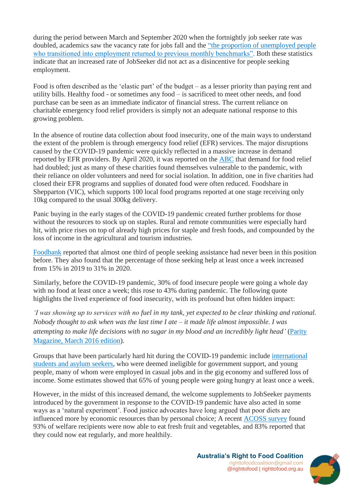during the period between March and September 2020 when the fortnightly job seeker rate was doubled, academics saw the vacancy rate for jobs fall and the ["the proportion of unemployed people](https://theconversation.com/new-finding-boosting-jobseeker-wouldnt-keep-australians-away-from-paid-work-150454)  [who transitioned into employment returned to previous monthly benchmarks".](https://theconversation.com/new-finding-boosting-jobseeker-wouldnt-keep-australians-away-from-paid-work-150454) Both these statistics indicate that an increased rate of JobSeeker did not act as a disincentive for people seeking employment.

Food is often described as the 'elastic part' of the budget – as a lesser priority than paying rent and utility bills. Healthy food - or sometimes any food – is sacrificed to meet other needs, and food purchase can be seen as an immediate indicator of financial stress. The current reliance on charitable emergency food relief providers is simply not an adequate national response to this growing problem.

In the absence of routine data collection about food insecurity, one of the main ways to understand the extent of the problem is through emergency food relief (EFR) services. The major disruptions caused by the COVID-19 pandemic were quickly reflected in a massive increase in demand reported by EFR providers. By April 2020, it was reported on the [ABC](https://www.abc.net.au/news/2020-03-18/coronavirus-bushfires-creating-perfect-storm-for-charities/12062530) that demand for food relief had doubled; just as many of these charities found themselves vulnerable to the pandemic, with their reliance on older volunteers and need for social isolation. In addition, one in five charities had closed their EFR programs and supplies of donated food were often reduced. Foodshare in Shepparton (VIC), which supports 100 local food programs reported at one stage receiving only 10kg compared to the usual 300kg delivery.

Panic buying in the early stages of the COVID-19 pandemic created further problems for those without the resources to stock up on staples. Rural and remote communities were especially hard hit, with price rises on top of already high prices for staple and fresh foods, and compounded by the loss of income in the agricultural and tourism industries.

[Foodbank](https://www.foodbank.org.au/wp-content/uploads/2020/10/FB-HR20.pdf) reported that almost one third of people seeking assistance had never been in this position before. They also found that the percentage of those seeking help at least once a week increased from 15% in 2019 to 31% in 2020.

Similarly, before the COVID-19 pandemic, 30% of food insecure people were going a whole day with no food at least once a week; this rose to 43% during pandemic. The following quote highlights the lived experience of food insecurity, with its profound but often hidden impact:

*'I was showing up to services with no fuel in my tank, yet expected to be clear thinking and rational. Nobody thought to ask when was the last time I ate – it made life almost impossible. I was attempting to make life decisions with no sugar in my blood and an incredibly light head'* [\(Parity](https://righttofood.org.au/wp-content/uploads/2020/07/Parity-magazine-special-edition.pdf)  [Magazine, March 2016 edition\)](https://righttofood.org.au/wp-content/uploads/2020/07/Parity-magazine-special-edition.pdf).

Groups that have been particularly hard hit during the COVID-19 pandemic include [international](https://www.theguardian.com/australia-news/2020/oct/12/australian-food-banks-report-huge-surge-in-demand-during-covid-pandemic)  [students and asylum seekers,](https://www.theguardian.com/australia-news/2020/oct/12/australian-food-banks-report-huge-surge-in-demand-during-covid-pandemic) who were deemed ineligible for government support, and young people, many of whom were employed in casual jobs and in the gig economy and suffered loss of income. Some estimates showed that 65% of young people were going hungry at least once a week.

However, in the midst of this increased demand, the welcome supplements to JobSeeker payments introduced by the government in response to the COVID-19 pandemic have also acted in some ways as a 'natural experiment'. Food justice advocates have long argued that poor diets are influenced more by economic resources than by personal choice; A recent [ACOSS survey](https://antipovertyweek.org.au/2020/06/acoss-surveys-confirm-coronavirus-supplement-relieving-poverty/) found 93% of welfare recipients were now able to eat fresh fruit and vegetables, and 83% reported that they could now eat regularly, and more healthily.